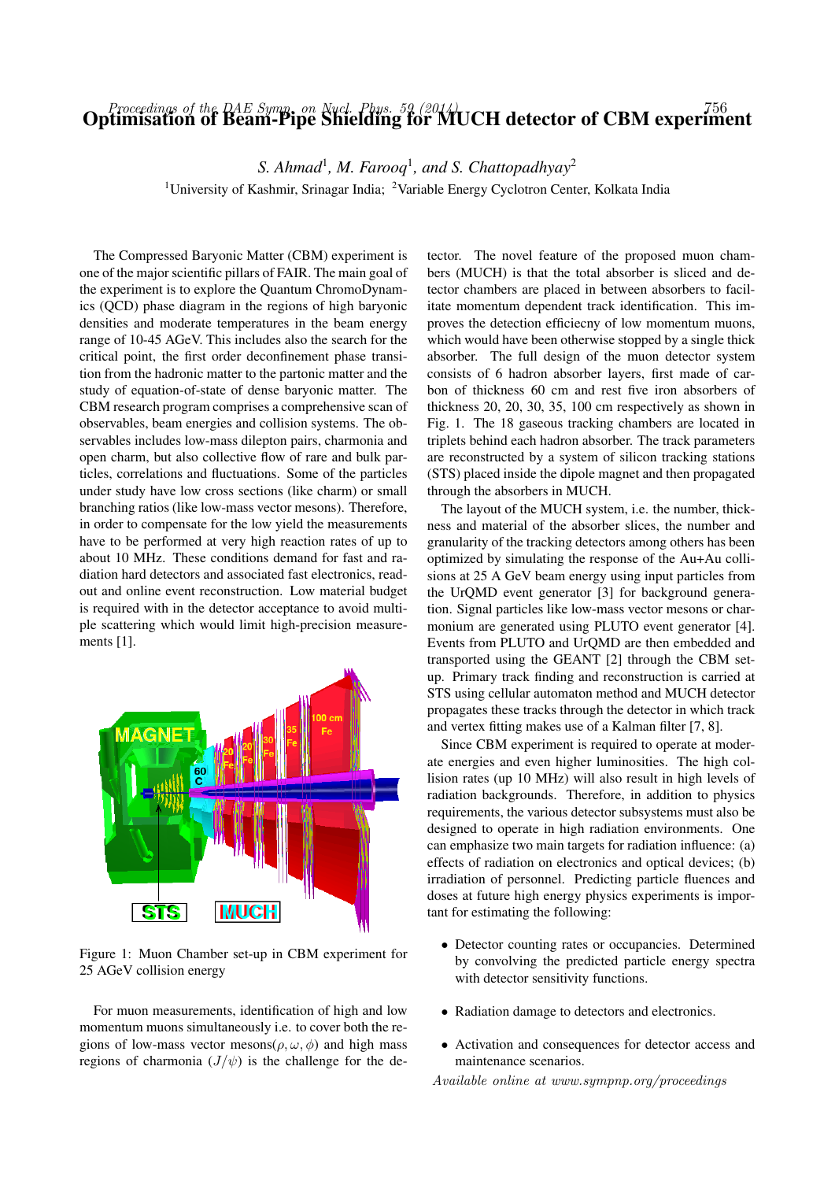## Optimisation of the DAE Symp. on Nucl. Phys. 59 (2014)<br>Optimisation of Beam-Pipe Shielding for MUCH detector of CBM experiment

S. Ahmad<sup>1</sup>, M. Farooq<sup>1</sup>, and S. Chattopadhyay<sup>2</sup>

<sup>1</sup>University of Kashmir, Srinagar India; <sup>2</sup>Variable Energy Cyclotron Center, Kolkata India

The Compressed Baryonic Matter (CBM) experiment is one of the major scientific pillars of FAIR. The main goal of the experiment is to explore the Quantum ChromoDynamics (QCD) phase diagram in the regions of high baryonic densities and moderate temperatures in the beam energy range of 10-45 AGeV. This includes also the search for the critical point, the first order deconfinement phase transition from the hadronic matter to the partonic matter and the study of equation-of-state of dense baryonic matter. The CBM research program comprises a comprehensive scan of observables, beam energies and collision systems. The observables includes low-mass dilepton pairs, charmonia and open charm, but also collective flow of rare and bulk particles, correlations and fluctuations. Some of the particles under study have low cross sections (like charm) or small branching ratios (like low-mass vector mesons). Therefore, in order to compensate for the low yield the measurements have to be performed at very high reaction rates of up to about 10 MHz. These conditions demand for fast and radiation hard detectors and associated fast electronics, readout and online event reconstruction. Low material budget is required with in the detector acceptance to avoid multiple scattering which would limit high-precision measurements [1].



Figure 1: Muon Chamber set-up in CBM experiment for 25 AGeV collision energy

For muon measurements, identification of high and low momentum muons simultaneously i.e. to cover both the regions of low-mass vector mesons( $\rho, \omega, \phi$ ) and high mass regions of charmonia  $(J/\psi)$  is the challenge for the detector. The novel feature of the proposed muon chambers (MUCH) is that the total absorber is sliced and detector chambers are placed in between absorbers to facilitate momentum dependent track identification. This improves the detection efficiecny of low momentum muons, which would have been otherwise stopped by a single thick absorber. The full design of the muon detector system consists of 6 hadron absorber layers, first made of carbon of thickness 60 cm and rest five iron absorbers of thickness 20, 20, 30, 35, 100 cm respectively as shown in Fig. 1. The 18 gaseous tracking chambers are located in triplets behind each hadron absorber. The track parameters are reconstructed by a system of silicon tracking stations (STS) placed inside the dipole magnet and then propagated through the absorbers in MUCH.

The layout of the MUCH system, i.e. the number, thickness and material of the absorber slices, the number and granularity of the tracking detectors among others has been optimized by simulating the response of the Au+Au collisions at 25 A GeV beam energy using input particles from the UrQMD event generator [3] for background generation. Signal particles like low-mass vector mesons or charmonium are generated using PLUTO event generator [4]. Events from PLUTO and UrQMD are then embedded and transported using the GEANT [2] through the CBM setup. Primary track finding and reconstruction is carried at STS using cellular automaton method and MUCH detector propagates these tracks through the detector in which track and vertex fitting makes use of a Kalman filter [7, 8].

Since CBM experiment is required to operate at moderate energies and even higher luminosities. The high collision rates (up 10 MHz) will also result in high levels of radiation backgrounds. Therefore, in addition to physics requirements, the various detector subsystems must also be designed to operate in high radiation environments. One can emphasize two main targets for radiation influence: (a) effects of radiation on electronics and optical devices; (b) irradiation of personnel. Predicting particle fluences and doses at future high energy physics experiments is important for estimating the following:

- Detector counting rates or occupancies. Determined by convolving the predicted particle energy spectra with detector sensitivity functions.
- Radiation damage to detectors and electronics.
- Activation and consequences for detector access and maintenance scenarios.

Available online at www.sympnp.org/proceedings